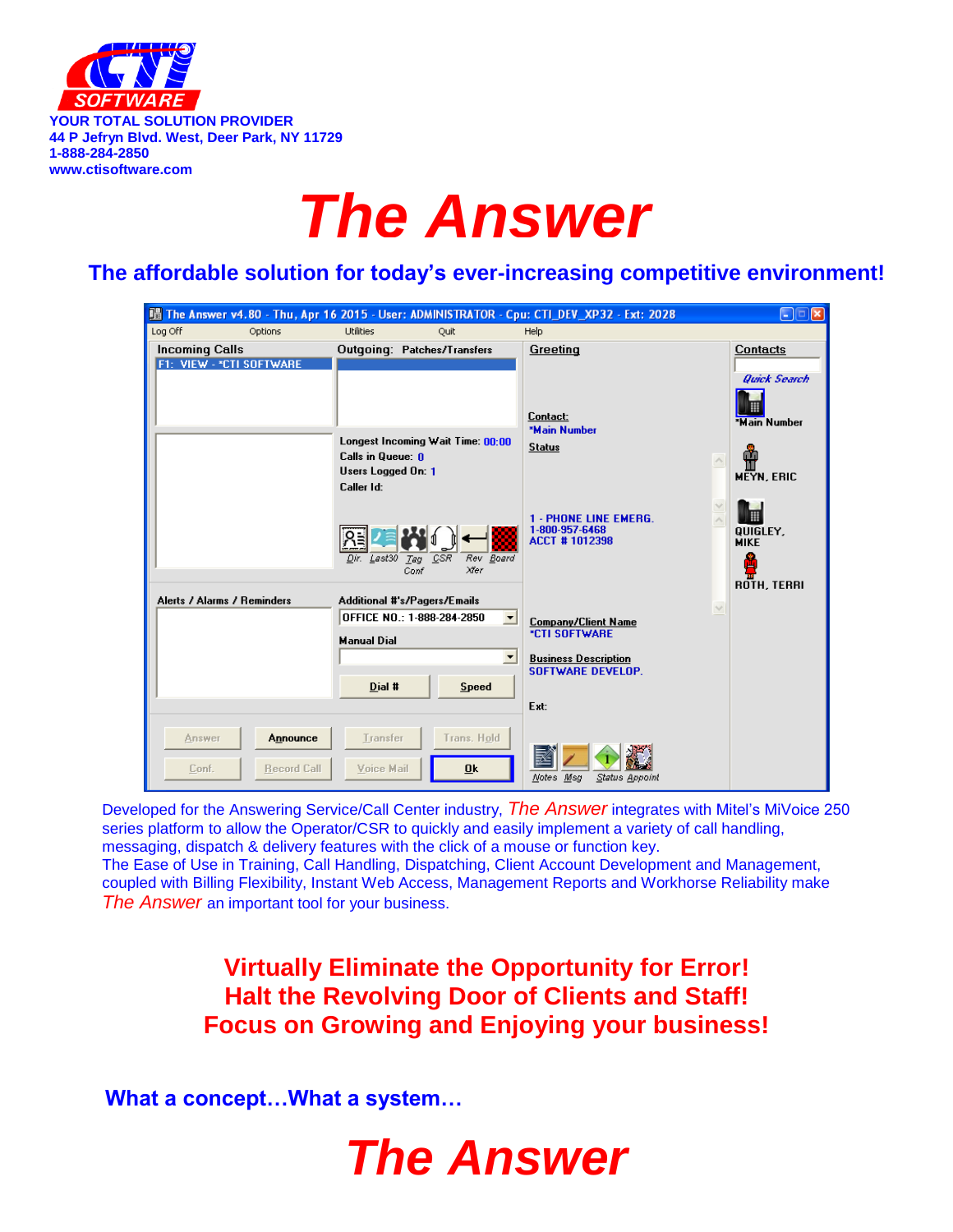

# *The Answer*

## **The affordable solution for today's ever-increasing competitive environment!**

| Ha The Answer v4.80 - Thu, Apr 16 2015 - User: ADMINISTRATOR - Cpu: CTI_DEV_XP32 - Ext: 2028 |                                                                                            |                                                                 | $\lfloor . \rfloor$ $\lfloor \mathbf{x} \rfloor$  |
|----------------------------------------------------------------------------------------------|--------------------------------------------------------------------------------------------|-----------------------------------------------------------------|---------------------------------------------------|
| Log Off<br>Options                                                                           | <b>Utilities</b><br>Quit                                                                   | Help                                                            |                                                   |
| <b>Incoming Calls</b><br>F1: VIEW - *CTI SOFTWARE                                            | <b>Outgoing: Patches/Transfers</b>                                                         | Greeting                                                        | Contacts<br><b>Quick Search</b>                   |
|                                                                                              | Longest Incoming Wait Time: 00:00<br>Calls in Queue: 0<br>Users Logged On: 1<br>Caller Id: | Contact:<br><b>*Main Number</b><br><b>Status</b>                | <b>*Main Number</b><br><b>MEYN, ERIC</b>          |
|                                                                                              | CSR<br>Dir. Last30<br>Rev Board<br>Tag<br>Xfer<br>Conf                                     | 1 - PHONE LINE EMERG.<br>1-800-957-6468<br><b>ACCT #1012398</b> | H<br>QUIGLEY,<br><b>MIKE</b><br>s.<br>ROTH, TERRI |
| Alerts / Alarms / Reminders                                                                  | <b>Additional #'s/Pagers/Emails</b>                                                        | $\sim$                                                          |                                                   |
|                                                                                              | OFFICE NO.: 1-888-284-2850                                                                 | ≖<br><b>Company/Client Name</b>                                 |                                                   |
|                                                                                              | <b>Manual Dial</b>                                                                         | <b>*CTI SOFTWARE</b>                                            |                                                   |
|                                                                                              |                                                                                            | $\blacktriangledown$<br><b>Business Description</b>             |                                                   |
|                                                                                              |                                                                                            | <b>SOFTWARE DEVELOP.</b>                                        |                                                   |
|                                                                                              | Dial #<br><b>Speed</b>                                                                     |                                                                 |                                                   |
|                                                                                              |                                                                                            | Ext:                                                            |                                                   |
| Announce<br>Answer<br><b>Record Call</b><br>Conf.                                            | Trans. Hold<br>Transfer<br>Voice Mail<br>0k                                                | Notes Msg<br>Status Appoint                                     |                                                   |

**Increase your Profit and Decrease your Stress!** coupled with Billing Flexibility, Instant Web Access, Management Reports and Workhorse Reliability make Developed for the Answering Service/Call Center industry, *The Answer* integrates with Mitel's MiVoice 250 series platform to allow the Operator/CSR to quickly and easily implement a variety of call handling, messaging, dispatch & delivery features with the click of a mouse or function key. The Ease of Use in Training, Call Handling, Dispatching, Client Account Development and Management, *The Answer* an important tool for your business.

> **Virtually Eliminate the Opportunity for Error! Halt the Revolving Door of Clients and Staff! Focus on Growing and Enjoying your business!**

**What a concept…What a system…** 

## *The Answer*